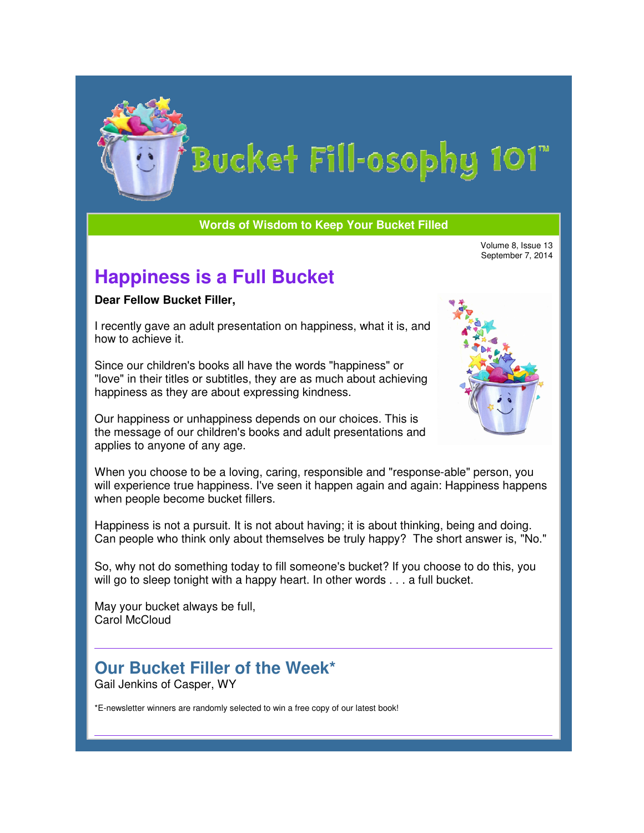

**Words of Wisdom to Keep Your Bucket Filled Words Keep Bucket Filled**

Volume 8, Issue 13<br>September 7, 2014

## **Happiness is a Full Bucket**

**Dear Fellow Bucket Filler,**

I recently gave an adult presentation on happiness, what it is, and how to achieve it.

Since our children's books all have the words "happiness" or "love" in their titles or subtitles, they are as much about achieving happiness as they are about expressing kindness.

Our happiness or unhappiness depends on our choices. This is the message of our children's books and adult presentations and applies to anyone of any age. Our happiness or unhappiness depends on our choices. This is<br>the message of our children's books and adult presentations and<br>applies to anyone of any age.<br>When you choose to be a loving, caring, responsible and "response-a



will experience true happiness. I've seen it happen again and again: Happiness happens when people become bucket fillers. sources the member of our and the member of our september 7, 2014<br>
Network of control of the member of the member of the member of the member of the member of the member of our of our strategies at the vertex and the membe sponsible and "response-able" pers<br>nappen again and again: Happines<br>iving; it is about thinking, being and<br>is be truly happy? The short answo<br>one's bucket? If you choose to do

Happiness is not a pursuit. It is not about having; it is about thinking, being and doing. Can people who think only about themselves be truly happy? The short answer is, "No." rience true happiness. I've seen it happen again and again: Happiness happens<br>ople become bucket fillers.<br>ss is not a pursuit. It is not about having; it is about thinking, being and doing.<br>ple who think only about themsel

So, why not do something today to fill someone's bucket? If you choose to do this, you will go to sleep tonight with a happy heart. In other words . . . a full bucket.<br>May your bucket always be full,

May your bucket always be full, Carol McCloud

## **Our Bucket Filler of the Week\* Filler of**

Gail Jenkins of Casper, WY

\*E-newsletter winners are randomly selected to win a free copy of our latest book!